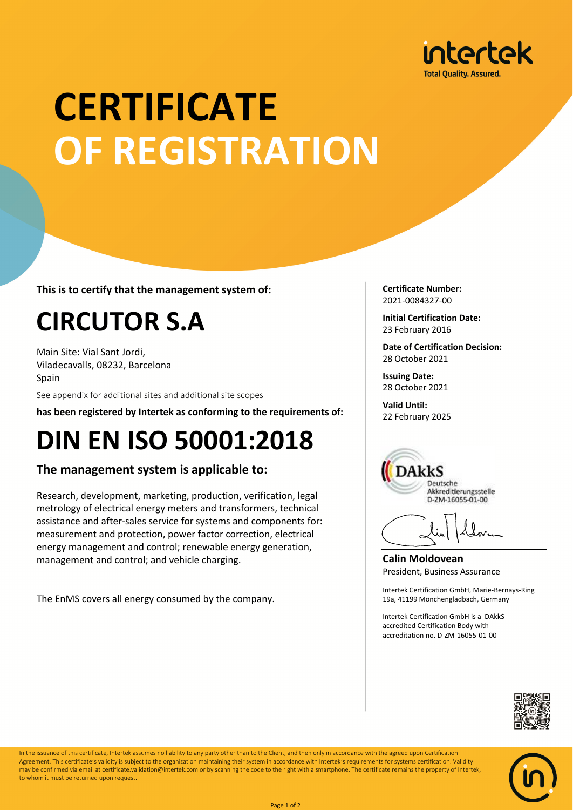

# **CERTIFICATE OF REGISTRATION**

**This is to certify that the management system of:**

### **CIRCUTOR S.A**

Main Site: Vial Sant Jordi, Viladecavalls, 08232, Barcelona Spain

See appendix for additional sites and additional site scopes

**has been registered by Intertek as conforming to the requirements of:**

### **DIN EN ISO 50001:2018**

#### **The management system is applicable to:**

Research, development, marketing, production, verification, legal metrology of electrical energy meters and transformers, technical assistance and after-sales service for systems and components for: measurement and protection, power factor correction, electrical energy management and control; renewable energy generation, management and control; and vehicle charging.

The EnMS covers all energy consumed by the company.

**Certificate Number:** 2021-0084327-00

**Initial Certification Date:** 23 February 2016

**Date of Certification Decision:** 28 October 2021

**Issuing Date:** 28 October 2021

**Valid Until:** 22 February 2025



**Calin Moldovean** President, Business Assurance

Intertek Certification GmbH, Marie-Bernays-Ring 19a, 41199 Mönchengladbach, Germany

Intertek Certification GmbH is a DAkkS accredited Certification Body with accreditation no. D-ZM-16055-01-00





In the issuance of this certificate, Intertek assumes no liability to any party other than to the Client, and then only in accordance with the agreed upon Certification Agreement. This certificate's validity is subject to the organization maintaining their system in accordance with Intertek's requirements for systems certification. Validity may be confirmed via email at certificate.validation@intertek.com or by scanning the code to the right with a smartphone. The certificate remains the property of Intertek, to whom it must be returned upon request.